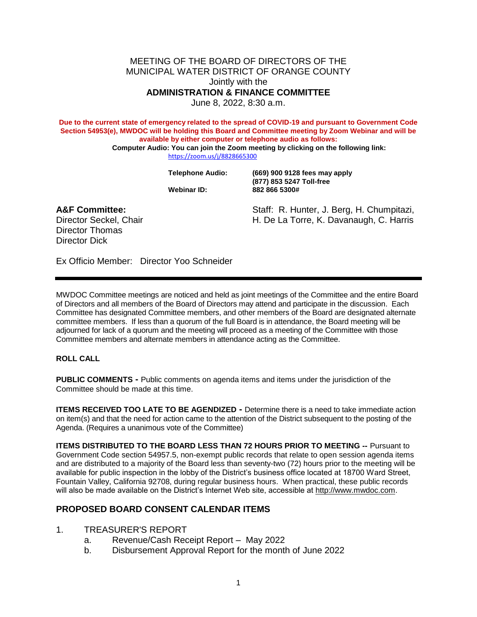MEETING OF THE BOARD OF DIRECTORS OF THE MUNICIPAL WATER DISTRICT OF ORANGE COUNTY Jointly with the **ADMINISTRATION & FINANCE COMMITTEE**

June 8, 2022, 8:30 a.m.

**Due to the current state of emergency related to the spread of COVID-19 and pursuant to Government Code Section 54953(e), MWDOC will be holding this Board and Committee meeting by Zoom Webinar and will be available by either computer or telephone audio as follows:**

**Computer Audio: You can join the Zoom meeting by clicking on the following link:** <https://zoom.us/j/8828665300>

**Telephone Audio: (669) 900 9128 fees may apply (877) 853 5247 Toll-free Webinar ID: 882 866 5300#**

Director Thomas Director Dick

**A&F Committee:** Staff: R. Hunter, J. Berg, H. Chumpitazi, Director Seckel, Chair **H. De La Torre, K. Davanaugh, C. Harris** 

Ex Officio Member: Director Yoo Schneider

MWDOC Committee meetings are noticed and held as joint meetings of the Committee and the entire Board of Directors and all members of the Board of Directors and participate in the discussion. Each Committee has designated Committee members, and other members of the Board are designated alternate committee members. If less than a quotum of the full and is in attendance, the Board meeting will be adjourned for lack of a quorum and the meeting will proceed as a meeting of the Committee with those<br>Committee members and alternate in order the sedance acting as the Committee. Committee members and alternate members Staff: R. H. Ter, J. Ber<br>
H. De La Free, K. Dava<br>
Director Yoo Schneider<br>
Director Yoo Schneider<br>
H. De La Free, K. Dava<br>
Director Yoo Schneider<br>
Heiss than a quotum and the Board of Direct<br>
The Islam a quorum and the Boar

**ROLL CALL**

**PUBLIC COMMENTS** • Public comments on agenda items and items under the jurisdiction of the Committee should be made  $\star$  this time.

**ITEMS RECEIVED TOO LATE TO BE AGENDIZED -** Determine there is a need to take immediate action on item(s) and that the need for action came to the attention of the District subsequent to the posting of the Agenda. (Requires a unanimous vote of the Committee)

**ITEMS DISTRIBUTED TO THE BOARD LESS THAN 72 HOURS PRIOR TO MEETING --** Pursuant to Government Code section 54957.5, non-exempt public records that relate to open session agenda items and are distributed to a majority of the Board less than seventy-two (72) hours prior to the meeting will be available for public inspection in the lobby of the District's business office located at 18700 Ward Street, Fountain Valley, California 92708, during regular business hours. When practical, these public records will also be made available on the District's Internet Web site, accessible at [http://www.mwdoc.com.](http://www.mwdoc.com/)

## **PROPOSED BOARD CONSENT CALENDAR ITEMS**

## 1. TREASURER'S REPORT

- a. Revenue/Cash Receipt Report May 2022
- b. Disbursement Approval Report for the month of June 2022